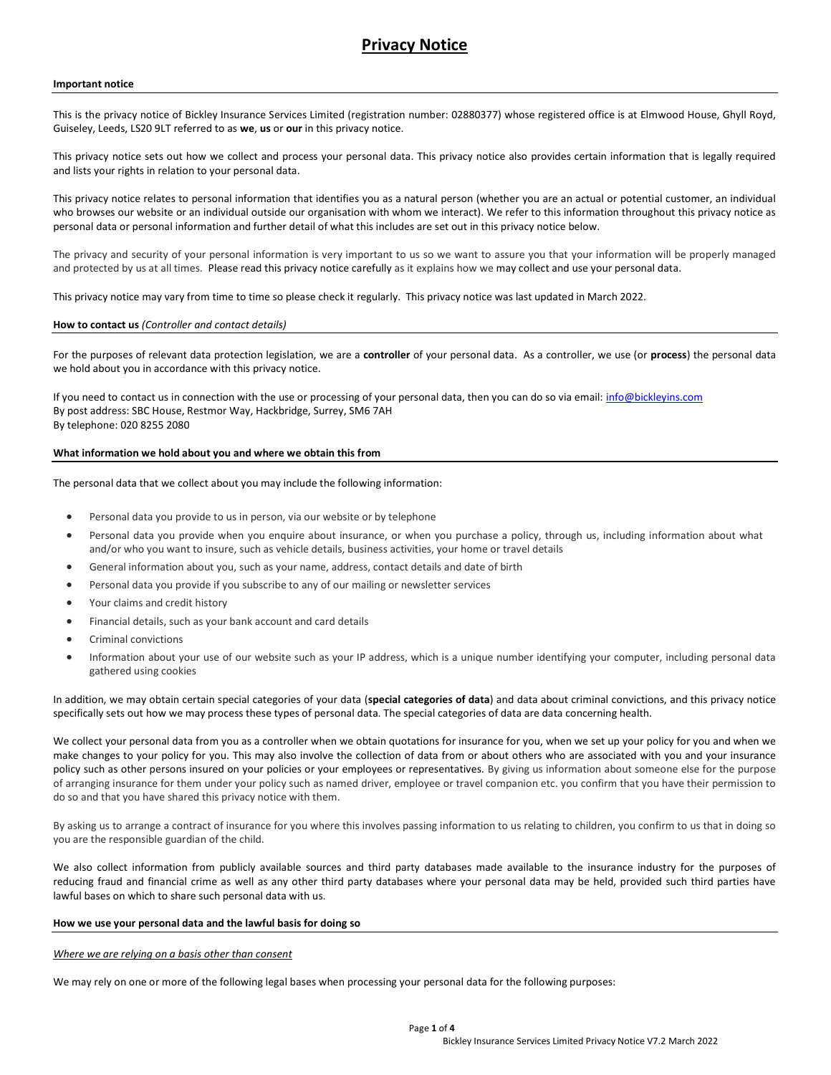### Important notice

This is the privacy notice of Bickley Insurance Services Limited (registration number: 02880377) whose registered office is at Elmwood House, Ghyll Royd, Guiseley, Leeds, LS20 9LT referred to as we, us or our in this privacy notice.

This privacy notice sets out how we collect and process your personal data. This privacy notice also provides certain information that is legally required and lists your rights in relation to your personal data.

This privacy notice relates to personal information that identifies you as a natural person (whether you are an actual or potential customer, an individual who browses our website or an individual outside our organisation with whom we interact). We refer to this information throughout this privacy notice as personal data or personal information and further detail of what this includes are set out in this privacy notice below.

The privacy and security of your personal information is very important to us so we want to assure you that your information will be properly managed and protected by us at all times. Please read this privacy notice carefully as it explains how we may collect and use your personal data.

This privacy notice may vary from time to time so please check it regularly. This privacy notice was last updated in March 2022.

#### How to contact us (Controller and contact details)

For the purposes of relevant data protection legislation, we are a controller of your personal data. As a controller, we use (or process) the personal data we hold about you in accordance with this privacy notice.

If you need to contact us in connection with the use or processing of your personal data, then you can do so via email: info@bickleyins.com By post address: SBC House, Restmor Way, Hackbridge, Surrey, SM6 7AH By telephone: 020 8255 2080

# What information we hold about you and where we obtain this from

The personal data that we collect about you may include the following information:

- Personal data you provide to us in person, via our website or by telephone
- Personal data you provide when you enquire about insurance, or when you purchase a policy, through us, including information about what and/or who you want to insure, such as vehicle details, business activities, your home or travel details
- General information about you, such as your name, address, contact details and date of birth
- Personal data you provide if you subscribe to any of our mailing or newsletter services
- Your claims and credit history
- Financial details, such as your bank account and card details
- Criminal convictions
- Information about your use of our website such as your IP address, which is a unique number identifying your computer, including personal data gathered using cookies

In addition, we may obtain certain special categories of your data (special categories of data) and data about criminal convictions, and this privacy notice specifically sets out how we may process these types of personal data. The special categories of data are data concerning health.

We collect your personal data from you as a controller when we obtain quotations for insurance for you, when we set up your policy for you and when we make changes to your policy for you. This may also involve the collection of data from or about others who are associated with you and your insurance policy such as other persons insured on your policies or your employees or representatives. By giving us information about someone else for the purpose of arranging insurance for them under your policy such as named driver, employee or travel companion etc. you confirm that you have their permission to do so and that you have shared this privacy notice with them.

By asking us to arrange a contract of insurance for you where this involves passing information to us relating to children, you confirm to us that in doing so you are the responsible guardian of the child.

We also collect information from publicly available sources and third party databases made available to the insurance industry for the purposes of reducing fraud and financial crime as well as any other third party databases where your personal data may be held, provided such third parties have lawful bases on which to share such personal data with us.

#### How we use your personal data and the lawful basis for doing so

### Where we are relying on a basis other than consent

We may rely on one or more of the following legal bases when processing your personal data for the following purposes: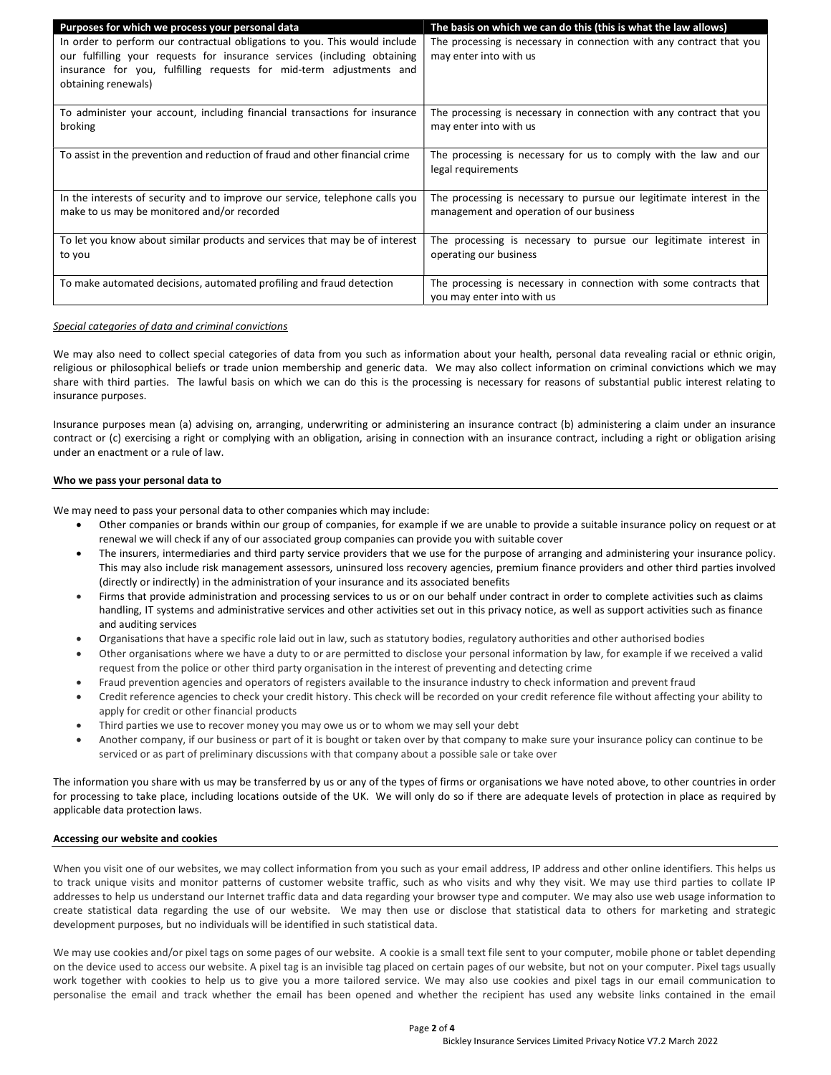| Purposes for which we process your personal data                                                                                                                                                                                                     | The basis on which we can do this (this is what the law allows)                                                  |
|------------------------------------------------------------------------------------------------------------------------------------------------------------------------------------------------------------------------------------------------------|------------------------------------------------------------------------------------------------------------------|
| In order to perform our contractual obligations to you. This would include<br>our fulfilling your requests for insurance services (including obtaining<br>insurance for you, fulfilling requests for mid-term adjustments and<br>obtaining renewals) | The processing is necessary in connection with any contract that you<br>may enter into with us                   |
| To administer your account, including financial transactions for insurance<br>broking                                                                                                                                                                | The processing is necessary in connection with any contract that you<br>may enter into with us                   |
|                                                                                                                                                                                                                                                      |                                                                                                                  |
| To assist in the prevention and reduction of fraud and other financial crime                                                                                                                                                                         | The processing is necessary for us to comply with the law and our<br>legal requirements                          |
| In the interests of security and to improve our service, telephone calls you<br>make to us may be monitored and/or recorded                                                                                                                          | The processing is necessary to pursue our legitimate interest in the<br>management and operation of our business |
| To let you know about similar products and services that may be of interest<br>to you                                                                                                                                                                | The processing is necessary to pursue our legitimate interest in<br>operating our business                       |
| To make automated decisions, automated profiling and fraud detection                                                                                                                                                                                 | The processing is necessary in connection with some contracts that<br>you may enter into with us                 |

# Special categories of data and criminal convictions

We may also need to collect special categories of data from you such as information about your health, personal data revealing racial or ethnic origin, religious or philosophical beliefs or trade union membership and generic data. We may also collect information on criminal convictions which we may share with third parties. The lawful basis on which we can do this is the processing is necessary for reasons of substantial public interest relating to insurance purposes.

Insurance purposes mean (a) advising on, arranging, underwriting or administering an insurance contract (b) administering a claim under an insurance contract or (c) exercising a right or complying with an obligation, arising in connection with an insurance contract, including a right or obligation arising under an enactment or a rule of law.

### Who we pass your personal data to

We may need to pass your personal data to other companies which may include:

- Other companies or brands within our group of companies, for example if we are unable to provide a suitable insurance policy on request or at renewal we will check if any of our associated group companies can provide you with suitable cover
- The insurers, intermediaries and third party service providers that we use for the purpose of arranging and administering your insurance policy. This may also include risk management assessors, uninsured loss recovery agencies, premium finance providers and other third parties involved (directly or indirectly) in the administration of your insurance and its associated benefits
- Firms that provide administration and processing services to us or on our behalf under contract in order to complete activities such as claims handling, IT systems and administrative services and other activities set out in this privacy notice, as well as support activities such as finance and auditing services
- Organisations that have a specific role laid out in law, such as statutory bodies, regulatory authorities and other authorised bodies
- Other organisations where we have a duty to or are permitted to disclose your personal information by law, for example if we received a valid request from the police or other third party organisation in the interest of preventing and detecting crime
- Fraud prevention agencies and operators of registers available to the insurance industry to check information and prevent fraud
- Credit reference agencies to check your credit history. This check will be recorded on your credit reference file without affecting your ability to apply for credit or other financial products
- Third parties we use to recover money you may owe us or to whom we may sell your debt
- Another company, if our business or part of it is bought or taken over by that company to make sure your insurance policy can continue to be serviced or as part of preliminary discussions with that company about a possible sale or take over

The information you share with us may be transferred by us or any of the types of firms or organisations we have noted above, to other countries in order for processing to take place, including locations outside of the UK. We will only do so if there are adequate levels of protection in place as required by applicable data protection laws.

### Accessing our website and cookies

When you visit one of our websites, we may collect information from you such as your email address, IP address and other online identifiers. This helps us to track unique visits and monitor patterns of customer website traffic, such as who visits and why they visit. We may use third parties to collate IP addresses to help us understand our Internet traffic data and data regarding your browser type and computer. We may also use web usage information to create statistical data regarding the use of our website. We may then use or disclose that statistical data to others for marketing and strategic development purposes, but no individuals will be identified in such statistical data.

We may use cookies and/or pixel tags on some pages of our website. A cookie is a small text file sent to your computer, mobile phone or tablet depending on the device used to access our website. A pixel tag is an invisible tag placed on certain pages of our website, but not on your computer. Pixel tags usually work together with cookies to help us to give you a more tailored service. We may also use cookies and pixel tags in our email communication to personalise the email and track whether the email has been opened and whether the recipient has used any website links contained in the email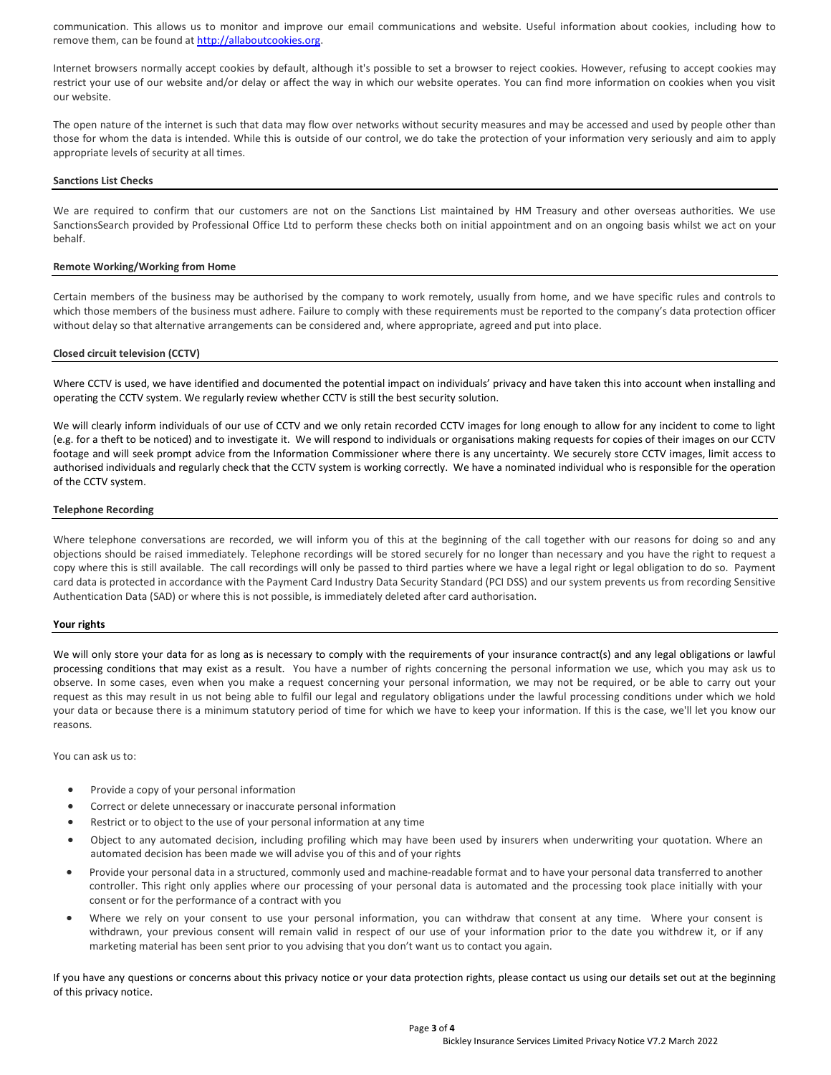communication. This allows us to monitor and improve our email communications and website. Useful information about cookies, including how to remove them, can be found at http://allaboutcookies.org.

Internet browsers normally accept cookies by default, although it's possible to set a browser to reject cookies. However, refusing to accept cookies may restrict your use of our website and/or delay or affect the way in which our website operates. You can find more information on cookies when you visit our website.

The open nature of the internet is such that data may flow over networks without security measures and may be accessed and used by people other than those for whom the data is intended. While this is outside of our control, we do take the protection of your information very seriously and aim to apply appropriate levels of security at all times.

#### Sanctions List Checks

We are required to confirm that our customers are not on the Sanctions List maintained by HM Treasury and other overseas authorities. We use SanctionsSearch provided by Professional Office Ltd to perform these checks both on initial appointment and on an ongoing basis whilst we act on your behalf.

# Remote Working/Working from Home

Certain members of the business may be authorised by the company to work remotely, usually from home, and we have specific rules and controls to which those members of the business must adhere. Failure to comply with these requirements must be reported to the company's data protection officer without delay so that alternative arrangements can be considered and, where appropriate, agreed and put into place.

#### Closed circuit television (CCTV)

Where CCTV is used, we have identified and documented the potential impact on individuals' privacy and have taken this into account when installing and operating the CCTV system. We regularly review whether CCTV is still the best security solution.

We will clearly inform individuals of our use of CCTV and we only retain recorded CCTV images for long enough to allow for any incident to come to light (e.g. for a theft to be noticed) and to investigate it. We will respond to individuals or organisations making requests for copies of their images on our CCTV footage and will seek prompt advice from the Information Commissioner where there is any uncertainty. We securely store CCTV images, limit access to authorised individuals and regularly check that the CCTV system is working correctly. We have a nominated individual who is responsible for the operation of the CCTV system.

### Telephone Recording

Where telephone conversations are recorded, we will inform you of this at the beginning of the call together with our reasons for doing so and any objections should be raised immediately. Telephone recordings will be stored securely for no longer than necessary and you have the right to request a copy where this is still available. The call recordings will only be passed to third parties where we have a legal right or legal obligation to do so. Payment card data is protected in accordance with the Payment Card Industry Data Security Standard (PCI DSS) and our system prevents us from recording Sensitive Authentication Data (SAD) or where this is not possible, is immediately deleted after card authorisation.

#### Your rights

We will only store your data for as long as is necessary to comply with the requirements of your insurance contract(s) and any legal obligations or lawful processing conditions that may exist as a result. You have a number of rights concerning the personal information we use, which you may ask us to observe. In some cases, even when you make a request concerning your personal information, we may not be required, or be able to carry out your request as this may result in us not being able to fulfil our legal and regulatory obligations under the lawful processing conditions under which we hold your data or because there is a minimum statutory period of time for which we have to keep your information. If this is the case, we'll let you know our reasons.

You can ask us to:

- Provide a copy of your personal information
- Correct or delete unnecessary or inaccurate personal information
- Restrict or to object to the use of your personal information at any time
- Object to any automated decision, including profiling which may have been used by insurers when underwriting your quotation. Where an automated decision has been made we will advise you of this and of your rights
- Provide your personal data in a structured, commonly used and machine-readable format and to have your personal data transferred to another controller. This right only applies where our processing of your personal data is automated and the processing took place initially with your consent or for the performance of a contract with you
- Where we rely on your consent to use your personal information, you can withdraw that consent at any time. Where your consent is withdrawn, your previous consent will remain valid in respect of our use of your information prior to the date you withdrew it, or if any marketing material has been sent prior to you advising that you don't want us to contact you again.

If you have any questions or concerns about this privacy notice or your data protection rights, please contact us using our details set out at the beginning of this privacy notice.